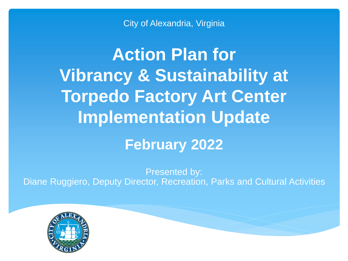City of Alexandria, Virginia

**Action Plan for Vibrancy & Sustainability at Torpedo Factory Art Center Implementation Update February 2022**

Presented by: Diane Ruggiero, Deputy Director, Recreation, Parks and Cultural Activities

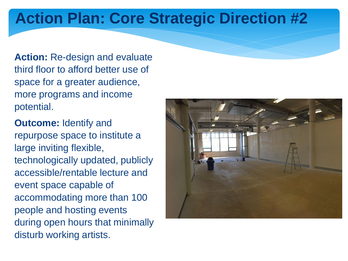Action: Re-design and evaluate third floor to afford better use of space for a greater audience, more programs and income potential.

**Outcome:** Identify and repurpose space to institute a large inviting flexible, technologically updated, publicly accessible/rentable lecture and event space capable of accommodating more than 100 people and hosting events during open hours that minimally disturb working artists.

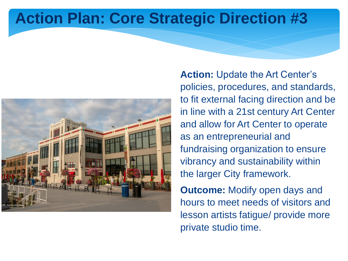

**Action:** Update the Art Center's policies, procedures, and standards, to fit external facing direction and be in line with a 21st century Art Center and allow for Art Center to operate as an entrepreneurial and fundraising organization to ensure vibrancy and sustainability within the larger City framework.

**Outcome:** Modify open days and hours to meet needs of visitors and lesson artists fatigue/ provide more private studio time.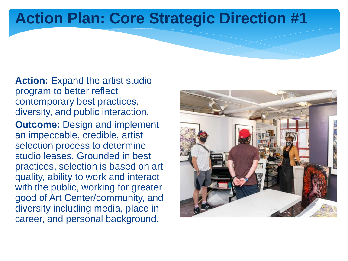**Action:** Expand the artist studio program to better reflect contemporary best practices, diversity, and public interaction. **Outcome: Design and implement** an impeccable, credible, artist selection process to determine studio leases. Grounded in best practices, selection is based on art quality, ability to work and interact with the public, working for greater good of Art Center/community, and diversity including media, place in career, and personal background.

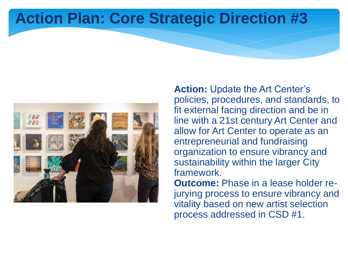

**Action:** Update the Art Center's policies, procedures, and standards, to fit external facing direction and be in line with a 21st century Art Center and allow for Art Center to operate as an entrepreneurial and fundraising organization to ensure vibrancy and sustainability within the larger City framework.

**Outcome:** Phase in a lease holder rejurying process to ensure vibrancy and vitality based on new artist selection process addressed in CSD #1.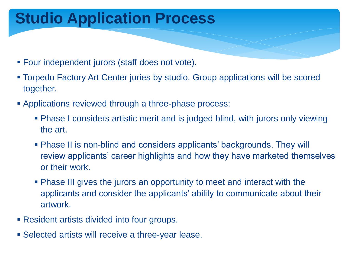## **Studio Application Process**

- Four independent jurors (staff does not vote).
- Torpedo Factory Art Center juries by studio. Group applications will be scored together.
- **EXPLO Applications reviewed through a three-phase process:** 
	- Phase I considers artistic merit and is judged blind, with jurors only viewing the art.
	- Phase II is non-blind and considers applicants' backgrounds. They will review applicants' career highlights and how they have marketed themselves or their work.
	- Phase III gives the jurors an opportunity to meet and interact with the applicants and consider the applicants' ability to communicate about their artwork.
- Resident artists divided into four groups.
- **EXECTED ARTS:** Selected artists will receive a three-year lease.